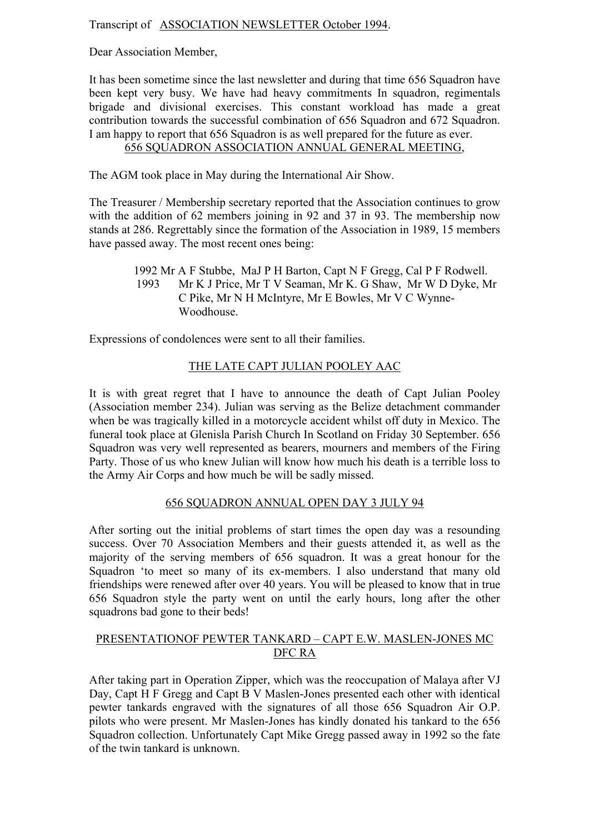Transcript of ASSOCIATION NEWSLETTER October 1994.

Dear Association Member,

It has been sometime since the last newsletter and during that time 656 Squadron have been kept very busy. We have had heavy commitments In squadron, regimentals brigade and divisional exercises. This constant workload has made a great contribution towards the successful combination of 656 Squadron and 672 Squadron. I am happy to report that 656 Squadron is as well prepared for the future as ever. 656 SQUADRON ASSOCIATION ANNUAL GENERAL MEETING,

The AGM took place in May during the International Air Show.

The Treasurer / Membership secretary reported that the Association continues to grow with the addition of 62 members joining in 92 and 37 in 93. The membership now stands at 286. Regrettably since the formation of the Association in 1989, 15 members have passed away. The most recent ones being:

> 1992 Mr A F Stubbe, MaJ P H Barton, Capt N F Gregg, Cal P F Rodwell. 1993 Mr K J Price, Mr T V Seaman, Mr K. G Shaw, Mr W D Dyke, Mr C Pike, Mr N H McIntyre, Mr E Bowles, Mr V C Wynne-**Woodhouse**

Expressions of condolences were sent to all their families.

# THE LATE CAPT JULIAN POOLEY AAC

It is with great regret that I have to announce the death of Capt Julian Pooley (Association member 234). Julian was serving as the Belize detachment commander when be was tragically killed in a motorcycle accident whilst off duty in Mexico. The funeral took place at Glenisla Parish Church In Scotland on Friday 30 September. 656 Squadron was very well represented as bearers, mourners and members of the Firing Party. Those of us who knew Julian will know how much his death is a terrible loss to the Army Air Corps and how much be will be sadly missed.

# 656 SQUADRON ANNUAL OPEN DAY 3 JULY 94

After sorting out the initial problems of start times the open day was a resounding success. Over 70 Association Members and their guests attended it, as well as the majority of the serving members of 656 squadron. It was a great honour for the Squadron 'to meet so many of its ex-members. I also understand that many old friendships were renewed after over 40 years. You will be pleased to know that in true 656 Squadron style the party went on until the early hours, long after the other squadrons bad gone to their beds!

## PRESENTATIONOF PEWTER TANKARD – CAPT E.W. MASLEN-JONES MC DFC RA

After taking part in Operation Zipper, which was the reoccupation of Malaya after VJ Day, Capt H F Gregg and Capt B V Maslen-Jones presented each other with identical pewter tankards engraved with the signatures of all those 656 Squadron Air O.P. pilots who were present. Mr Maslen-Jones has kindly donated his tankard to the 656 Squadron collection. Unfortunately Capt Mike Gregg passed away in 1992 so the fate of the twin tankard is unknown.